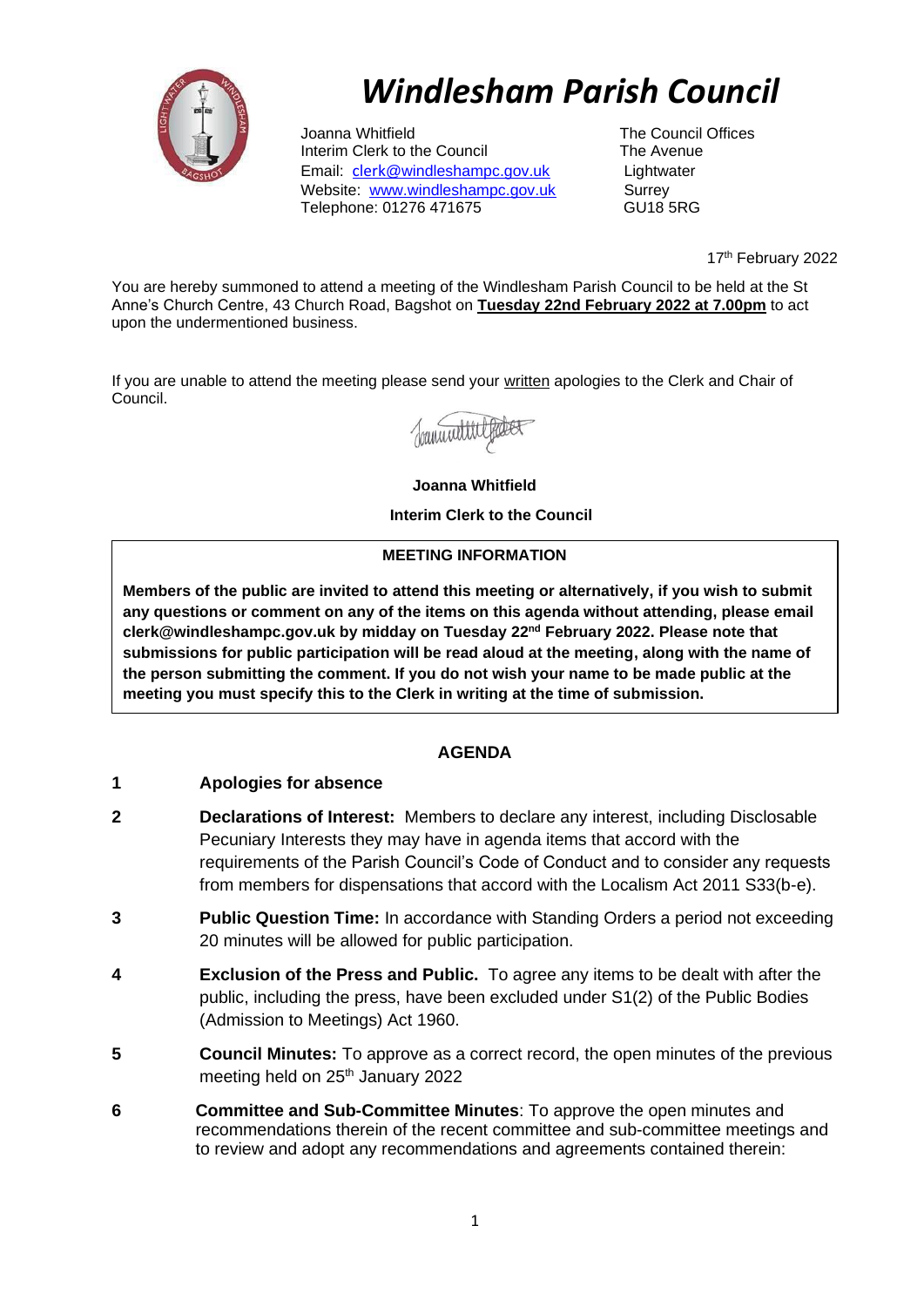

# *Windlesham Parish Council*

Joanna Whitfield<br>
Interim Clerk to the Council<br>
The Avenue<br>
The Avenue Interim Clerk to the Council Email: [clerk](mailto:clerk@windleshampc.gov.uk)[@windleshampc.gov.uk](mailto:clerk@windleshampc.gov.uk) Lightwater Website: [www.windleshampc.gov.uk](http://www.windleshampc.gov.uk/) Surrey Telephone: 01276 471675

17<sup>th</sup> February 2022

You are hereby summoned to attend a meeting of the Windlesham Parish Council to be held at the St Anne's Church Centre, 43 Church Road, Bagshot on **Tuesday 22nd February 2022 at 7.00pm** to act upon the undermentioned business.

If you are unable to attend the meeting please send your written apologies to the Clerk and Chair of Council.

Joannattitle

**Joanna Whitfield**

**Interim Clerk to the Council**

#### **MEETING INFORMATION**

**Members of the public are invited to attend this meeting or alternatively, if you wish to submit any questions or comment on any of the items on this agenda without attending, please email clerk@windleshampc.gov.uk by midday on Tuesday 22nd February 2022. Please note that submissions for public participation will be read aloud at the meeting, along with the name of the person submitting the comment. If you do not wish your name to be made public at the meeting you must specify this to the Clerk in writing at the time of submission.**

## **AGENDA**

### **1 Apologies for absence**

- **2 Declarations of Interest:** Members to declare any interest, including Disclosable Pecuniary Interests they may have in agenda items that accord with the requirements of the Parish Council's Code of Conduct and to consider any requests from members for dispensations that accord with the Localism Act 2011 S33(b-e).
- **3 Public Question Time:** In accordance with Standing Orders a period not exceeding 20 minutes will be allowed for public participation.
- **4 Exclusion of the Press and Public.** To agree any items to be dealt with after the public, including the press, have been excluded under S1(2) of the Public Bodies (Admission to Meetings) Act 1960.
- **5 Council Minutes:** To approve as a correct record, the open minutes of the previous meeting held on 25<sup>th</sup> January 2022
- **6 Committee and Sub-Committee Minutes**: To approve the open minutes and recommendations therein of the recent committee and sub-committee meetings and to review and adopt any recommendations and agreements contained therein: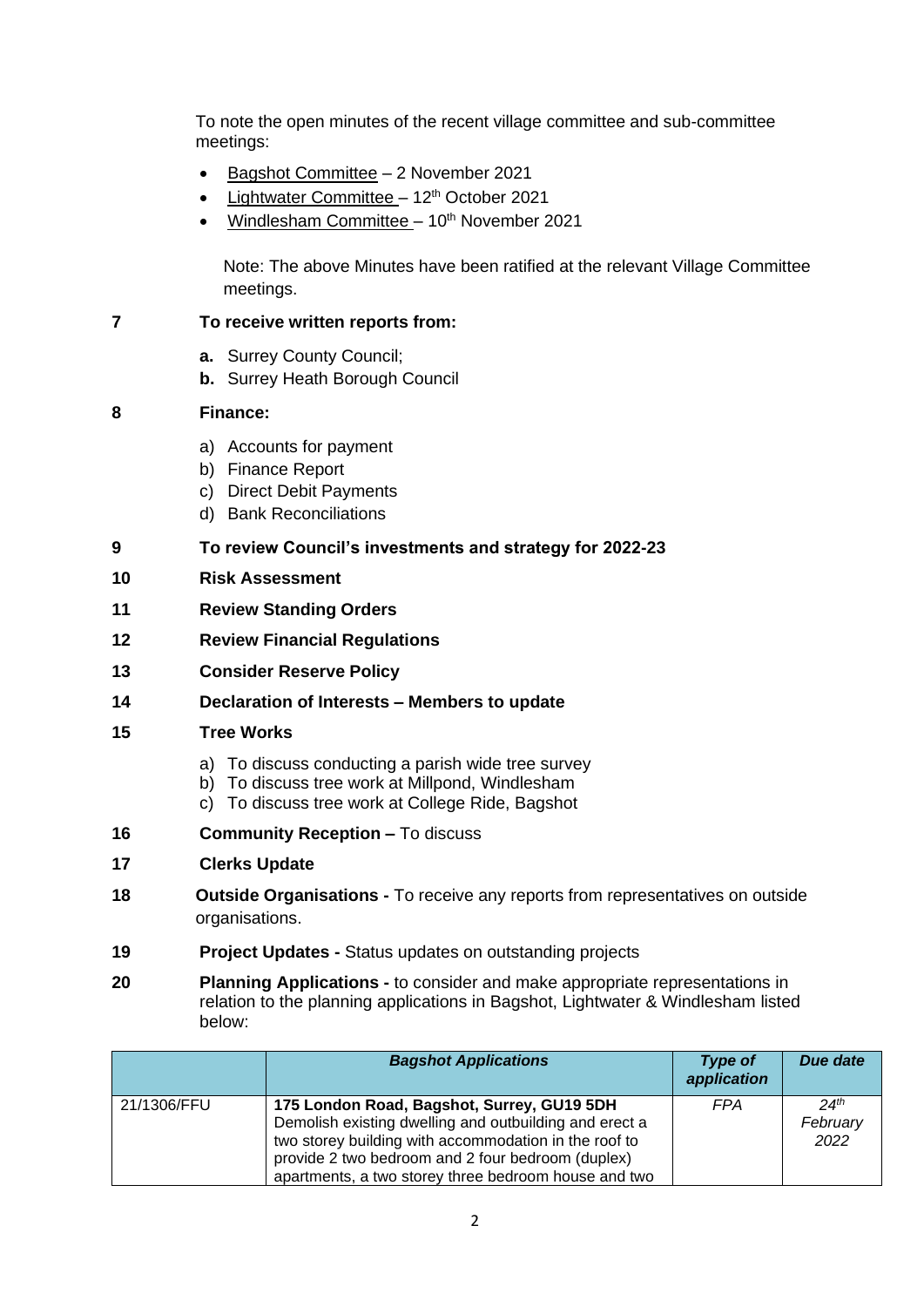To note the open minutes of the recent village committee and sub-committee meetings:

- Bagshot Committee 2 November 2021
- Lightwater Committee  $-12<sup>th</sup>$  October 2021
- Windlesham Committee 10<sup>th</sup> November 2021

Note: The above Minutes have been ratified at the relevant Village Committee meetings.

### **7 To receive written reports from:**

- **a.** Surrey County Council;
- **b.** Surrey Heath Borough Council

### **8 Finance:**

- a) Accounts for payment
- b) Finance Report
- c) Direct Debit Payments
- d) Bank Reconciliations
- **9 To review Council's investments and strategy for 2022-23**
- **10 Risk Assessment**
- **11 Review Standing Orders**
- **12 Review Financial Regulations**
- **13 Consider Reserve Policy**
- **14 Declaration of Interests – Members to update**
- **15 Tree Works**
	- a) To discuss conducting a parish wide tree survey
	- b) To discuss tree work at Millpond, Windlesham
	- c) To discuss tree work at College Ride, Bagshot
- **16 Community Reception –** To discuss
- **17 Clerks Update**
- **18 Outside Organisations -** To receive any reports from representatives on outside organisations.
- **19 Project Updates -** Status updates on outstanding projects
- **20 Planning Applications -** to consider and make appropriate representations in relation to the planning applications in Bagshot, Lightwater & Windlesham listed below:

|             | <b>Bagshot Applications</b>                                                                                                                                                                                                                                                | Type of<br>application | Due date                             |
|-------------|----------------------------------------------------------------------------------------------------------------------------------------------------------------------------------------------------------------------------------------------------------------------------|------------------------|--------------------------------------|
| 21/1306/FFU | 175 London Road, Bagshot, Surrey, GU19 5DH<br>Demolish existing dwelling and outbuilding and erect a<br>two storey building with accommodation in the roof to<br>provide 2 two bedroom and 2 four bedroom (duplex)<br>apartments, a two storey three bedroom house and two | <b>FPA</b>             | 24 <sup>th</sup><br>February<br>2022 |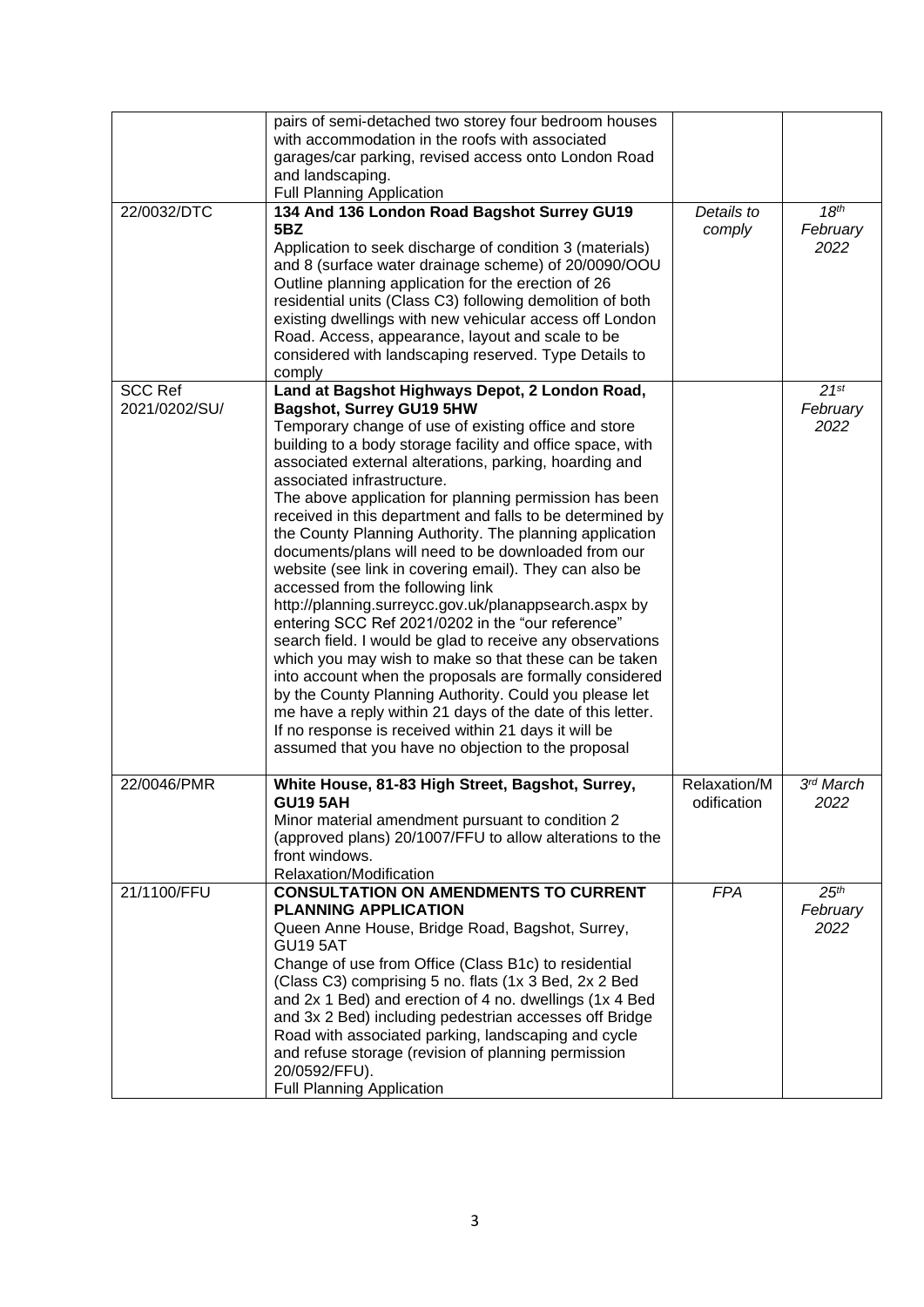|                | pairs of semi-detached two storey four bedroom houses                                                               |              |                  |
|----------------|---------------------------------------------------------------------------------------------------------------------|--------------|------------------|
|                | with accommodation in the roofs with associated                                                                     |              |                  |
|                | garages/car parking, revised access onto London Road                                                                |              |                  |
|                | and landscaping.                                                                                                    |              |                  |
|                | <b>Full Planning Application</b>                                                                                    |              |                  |
| 22/0032/DTC    | 134 And 136 London Road Bagshot Surrey GU19                                                                         | Details to   | 18 <sup>th</sup> |
|                | 5BZ                                                                                                                 | comply       | February         |
|                | Application to seek discharge of condition 3 (materials)                                                            |              | 2022             |
|                | and 8 (surface water drainage scheme) of 20/0090/OOU                                                                |              |                  |
|                | Outline planning application for the erection of 26                                                                 |              |                  |
|                | residential units (Class C3) following demolition of both                                                           |              |                  |
|                | existing dwellings with new vehicular access off London<br>Road. Access, appearance, layout and scale to be         |              |                  |
|                | considered with landscaping reserved. Type Details to                                                               |              |                  |
|                | comply                                                                                                              |              |                  |
| <b>SCC Ref</b> | Land at Bagshot Highways Depot, 2 London Road,                                                                      |              | $21^{st}$        |
| 2021/0202/SU/  | <b>Bagshot, Surrey GU19 5HW</b>                                                                                     |              | February         |
|                | Temporary change of use of existing office and store                                                                |              | 2022             |
|                | building to a body storage facility and office space, with                                                          |              |                  |
|                | associated external alterations, parking, hoarding and                                                              |              |                  |
|                | associated infrastructure.                                                                                          |              |                  |
|                | The above application for planning permission has been<br>received in this department and falls to be determined by |              |                  |
|                | the County Planning Authority. The planning application                                                             |              |                  |
|                | documents/plans will need to be downloaded from our                                                                 |              |                  |
|                | website (see link in covering email). They can also be                                                              |              |                  |
|                | accessed from the following link                                                                                    |              |                  |
|                | http://planning.surreycc.gov.uk/planappsearch.aspx by                                                               |              |                  |
|                | entering SCC Ref 2021/0202 in the "our reference"                                                                   |              |                  |
|                | search field. I would be glad to receive any observations                                                           |              |                  |
|                | which you may wish to make so that these can be taken                                                               |              |                  |
|                | into account when the proposals are formally considered<br>by the County Planning Authority. Could you please let   |              |                  |
|                | me have a reply within 21 days of the date of this letter.                                                          |              |                  |
|                | If no response is received within 21 days it will be                                                                |              |                  |
|                | assumed that you have no objection to the proposal                                                                  |              |                  |
|                |                                                                                                                     |              |                  |
| 22/0046/PMR    | White House, 81-83 High Street, Bagshot, Surrey,                                                                    | Relaxation/M | 3rd March        |
|                | <b>GU19 5AH</b>                                                                                                     | odification  | 2022             |
|                | Minor material amendment pursuant to condition 2                                                                    |              |                  |
|                | (approved plans) 20/1007/FFU to allow alterations to the<br>front windows.                                          |              |                  |
|                | Relaxation/Modification                                                                                             |              |                  |
| 21/1100/FFU    | <b>CONSULTATION ON AMENDMENTS TO CURRENT</b>                                                                        | <b>FPA</b>   | 25 <sup>th</sup> |
|                | <b>PLANNING APPLICATION</b>                                                                                         |              | February         |
|                | Queen Anne House, Bridge Road, Bagshot, Surrey,                                                                     |              | 2022             |
|                | <b>GU19 5AT</b>                                                                                                     |              |                  |
|                | Change of use from Office (Class B1c) to residential                                                                |              |                  |
|                | (Class C3) comprising 5 no. flats (1x 3 Bed, 2x 2 Bed                                                               |              |                  |
|                | and 2x 1 Bed) and erection of 4 no. dwellings (1x 4 Bed<br>and 3x 2 Bed) including pedestrian accesses off Bridge   |              |                  |
|                | Road with associated parking, landscaping and cycle                                                                 |              |                  |
|                | and refuse storage (revision of planning permission                                                                 |              |                  |
|                | 20/0592/FFU).                                                                                                       |              |                  |
|                | <b>Full Planning Application</b>                                                                                    |              |                  |